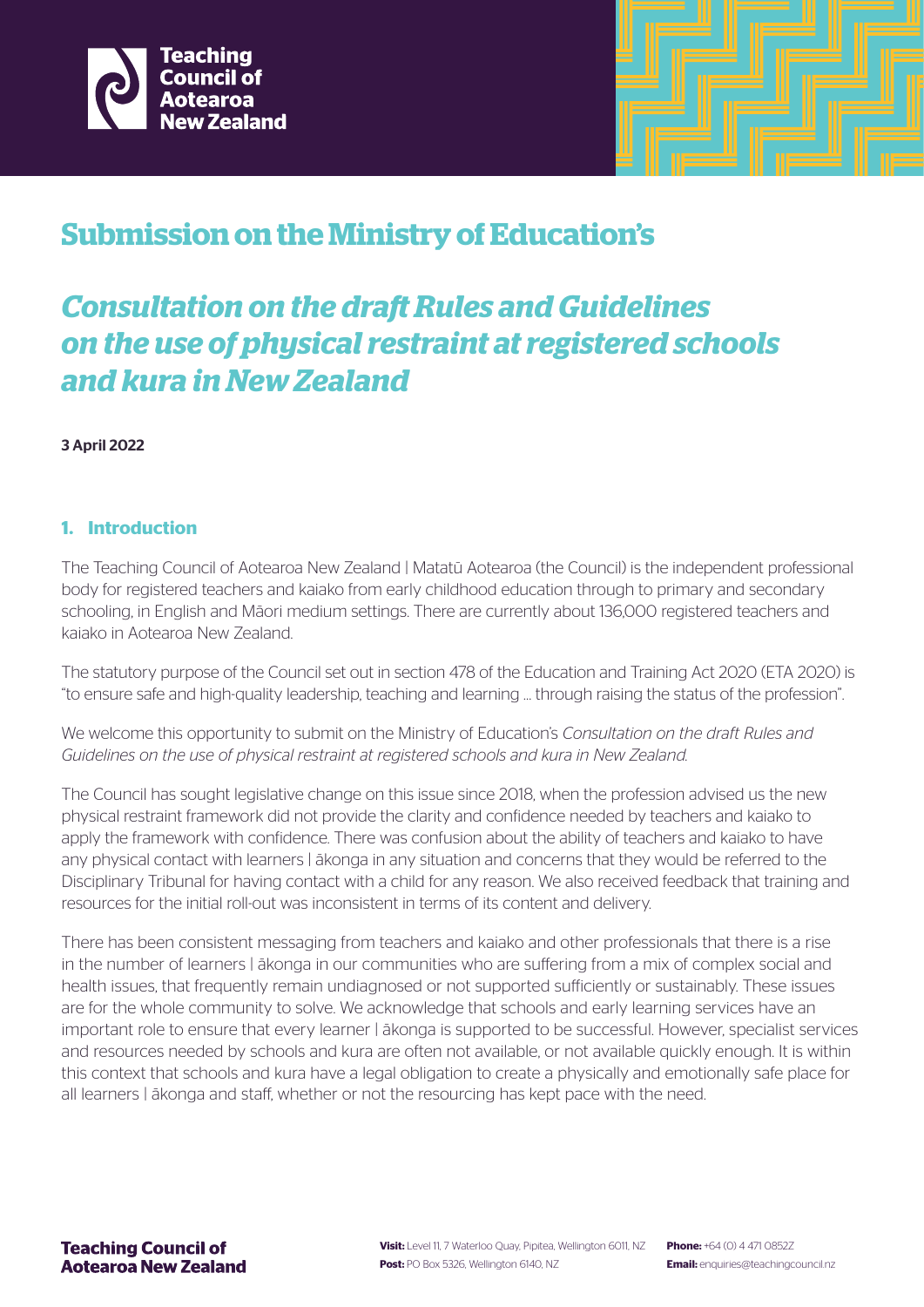



# **Submission on the Ministry of Education's**

# *Consultation on the draft Rules and Guidelines on the use of physical restraint at registered schools and kura in New Zealand*

# 3 April 2022

# **1. Introduction**

The Teaching Council of Aotearoa New Zealand | Matatū Aotearoa (the Council) is the independent professional body for registered teachers and kaiako from early childhood education through to primary and secondary schooling, in English and Māori medium settings. There are currently about 136,000 registered teachers and kaiako in Aotearoa New Zealand.

The statutory purpose of the Council set out in section 478 of the Education and Training Act 2020 (ETA 2020) is "to ensure safe and high-quality leadership, teaching and learning … through raising the status of the profession".

We welcome this opportunity to submit on the Ministry of Education's *Consultation on the draft Rules and Guidelines on the use of physical restraint at registered schools and kura in New Zealand.*

The Council has sought legislative change on this issue since 2018, when the profession advised us the new physical restraint framework did not provide the clarity and confidence needed by teachers and kaiako to apply the framework with confidence. There was confusion about the ability of teachers and kaiako to have any physical contact with learners | ākonga in any situation and concerns that they would be referred to the Disciplinary Tribunal for having contact with a child for any reason. We also received feedback that training and resources for the initial roll-out was inconsistent in terms of its content and delivery.

There has been consistent messaging from teachers and kaiako and other professionals that there is a rise in the number of learners | ākonga in our communities who are suffering from a mix of complex social and health issues, that frequently remain undiagnosed or not supported sufficiently or sustainably. These issues are for the whole community to solve. We acknowledge that schools and early learning services have an important role to ensure that every learner | ākonga is supported to be successful. However, specialist services and resources needed by schools and kura are often not available, or not available quickly enough. It is within this context that schools and kura have a legal obligation to create a physically and emotionally safe place for all learners | ākonga and staff, whether or not the resourcing has kept pace with the need.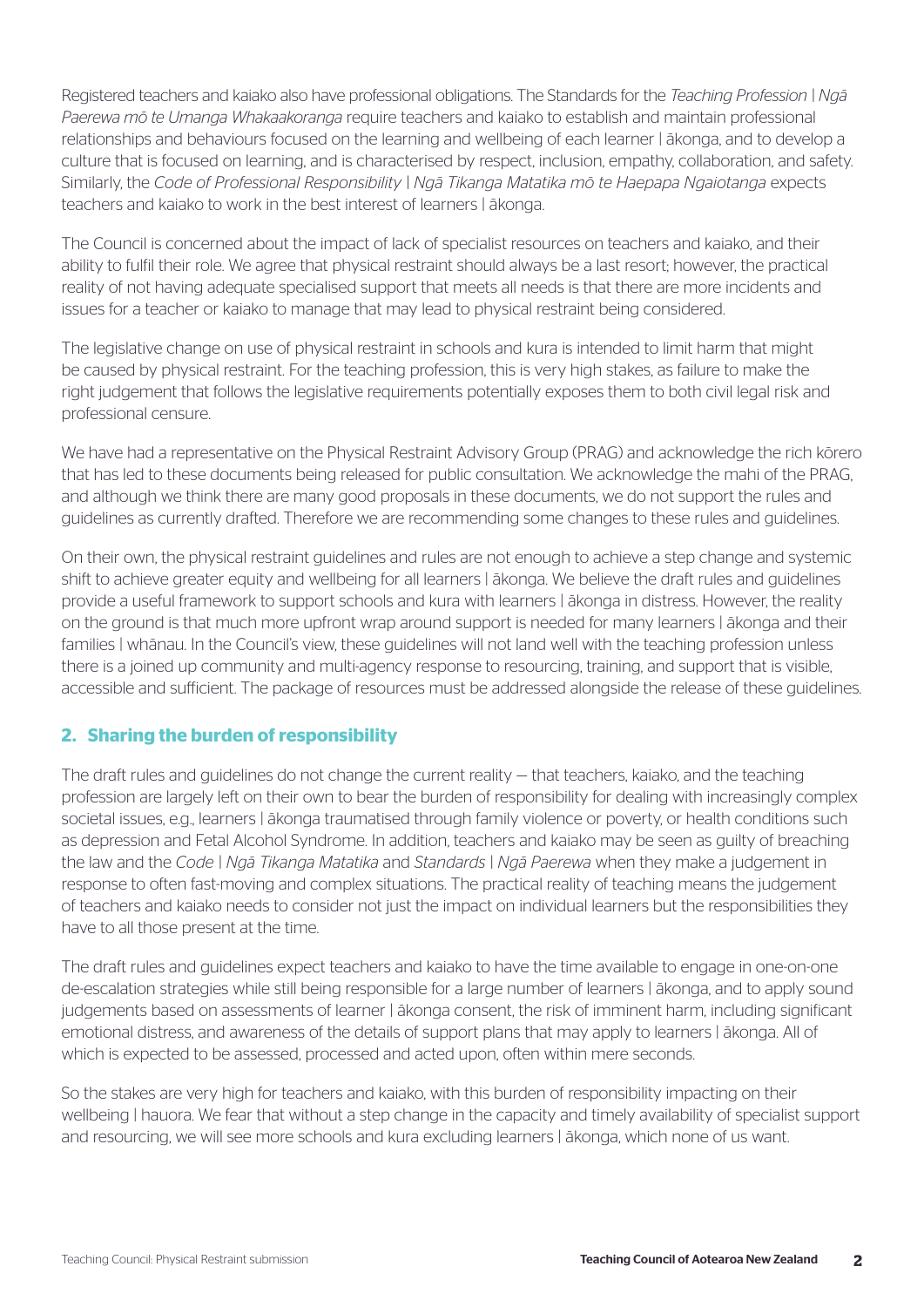Registered teachers and kaiako also have professional obligations. The Standards for the *Teaching Profession | Ngā Paerewa mō te Umanga Whakaakoranga* require teachers and kaiako to establish and maintain professional relationships and behaviours focused on the learning and wellbeing of each learner | ākonga, and to develop a culture that is focused on learning, and is characterised by respect, inclusion, empathy, collaboration, and safety. Similarly, the *Code of Professional Responsibility | Ngā Tikanga Matatika mō te Haepapa Ngaiotanga* expects teachers and kaiako to work in the best interest of learners | ākonga.

The Council is concerned about the impact of lack of specialist resources on teachers and kaiako, and their ability to fulfil their role. We agree that physical restraint should always be a last resort; however, the practical reality of not having adequate specialised support that meets all needs is that there are more incidents and issues for a teacher or kaiako to manage that may lead to physical restraint being considered.

The legislative change on use of physical restraint in schools and kura is intended to limit harm that might be caused by physical restraint. For the teaching profession, this is very high stakes, as failure to make the right judgement that follows the legislative requirements potentially exposes them to both civil legal risk and professional censure.

We have had a representative on the Physical Restraint Advisory Group (PRAG) and acknowledge the rich kōrero that has led to these documents being released for public consultation. We acknowledge the mahi of the PRAG, and although we think there are many good proposals in these documents, we do not support the rules and guidelines as currently drafted. Therefore we are recommending some changes to these rules and guidelines.

On their own, the physical restraint guidelines and rules are not enough to achieve a step change and systemic shift to achieve greater equity and wellbeing for all learners | ākonga. We believe the draft rules and guidelines provide a useful framework to support schools and kura with learners | ākonga in distress. However, the reality on the ground is that much more upfront wrap around support is needed for many learners | ākonga and their families | whānau. In the Council's view, these guidelines will not land well with the teaching profession unless there is a joined up community and multi-agency response to resourcing, training, and support that is visible, accessible and sufficient. The package of resources must be addressed alongside the release of these guidelines.

# **2. Sharing the burden of responsibility**

The draft rules and guidelines do not change the current reality — that teachers, kaiako, and the teaching profession are largely left on their own to bear the burden of responsibility for dealing with increasingly complex societal issues, e.g., learners | ākonga traumatised through family violence or poverty, or health conditions such as depression and Fetal Alcohol Syndrome. In addition, teachers and kaiako may be seen as guilty of breaching the law and the *Code | Ngā Tikanga Matatika* and *Standards | Ngā Paerewa* when they make a judgement in response to often fast-moving and complex situations. The practical reality of teaching means the judgement of teachers and kaiako needs to consider not just the impact on individual learners but the responsibilities they have to all those present at the time.

The draft rules and guidelines expect teachers and kaiako to have the time available to engage in one-on-one de-escalation strategies while still being responsible for a large number of learners | ākonga, and to apply sound judgements based on assessments of learner | ākonga consent, the risk of imminent harm, including significant emotional distress, and awareness of the details of support plans that may apply to learners | ākonga. All of which is expected to be assessed, processed and acted upon, often within mere seconds.

So the stakes are very high for teachers and kaiako, with this burden of responsibility impacting on their wellbeing | hauora. We fear that without a step change in the capacity and timely availability of specialist support and resourcing, we will see more schools and kura excluding learners | ākonga, which none of us want.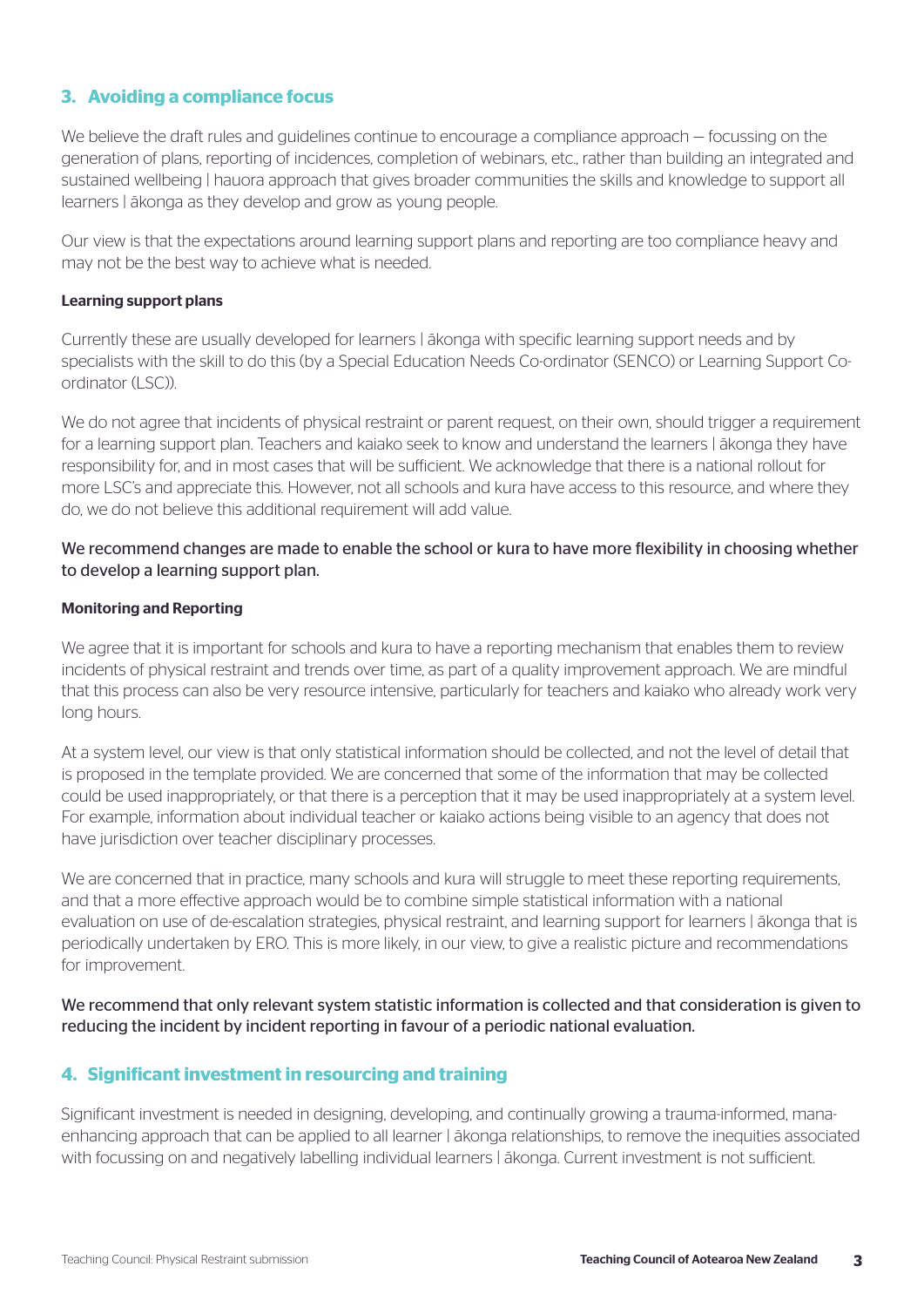# **3. Avoiding a compliance focus**

We believe the draft rules and guidelines continue to encourage a compliance approach – focussing on the generation of plans, reporting of incidences, completion of webinars, etc., rather than building an integrated and sustained wellbeing | hauora approach that gives broader communities the skills and knowledge to support all learners | ākonga as they develop and grow as young people.

Our view is that the expectations around learning support plans and reporting are too compliance heavy and may not be the best way to achieve what is needed.

#### Learning support plans

Currently these are usually developed for learners | ākonga with specific learning support needs and by specialists with the skill to do this (by a Special Education Needs Co-ordinator (SENCO) or Learning Support Coordinator (LSC)).

We do not agree that incidents of physical restraint or parent request, on their own, should trigger a requirement for a learning support plan. Teachers and kaiako seek to know and understand the learners | ākonga they have responsibility for, and in most cases that will be sufficient. We acknowledge that there is a national rollout for more LSC's and appreciate this. However, not all schools and kura have access to this resource, and where they do, we do not believe this additional requirement will add value.

### We recommend changes are made to enable the school or kura to have more flexibility in choosing whether to develop a learning support plan.

#### Monitoring and Reporting

We agree that it is important for schools and kura to have a reporting mechanism that enables them to review incidents of physical restraint and trends over time, as part of a quality improvement approach. We are mindful that this process can also be very resource intensive, particularly for teachers and kaiako who already work very long hours.

At a system level, our view is that only statistical information should be collected, and not the level of detail that is proposed in the template provided. We are concerned that some of the information that may be collected could be used inappropriately, or that there is a perception that it may be used inappropriately at a system level. For example, information about individual teacher or kaiako actions being visible to an agency that does not have jurisdiction over teacher disciplinary processes.

We are concerned that in practice, many schools and kura will struggle to meet these reporting requirements, and that a more effective approach would be to combine simple statistical information with a national evaluation on use of de-escalation strategies, physical restraint, and learning support for learners | ākonga that is periodically undertaken by ERO. This is more likely, in our view, to give a realistic picture and recommendations for improvement.

### We recommend that only relevant system statistic information is collected and that consideration is given to reducing the incident by incident reporting in favour of a periodic national evaluation.

# **4. Significant investment in resourcing and training**

Significant investment is needed in designing, developing, and continually growing a trauma-informed, manaenhancing approach that can be applied to all learner | ākonga relationships, to remove the inequities associated with focussing on and negatively labelling individual learners | ākonga. Current investment is not sufficient.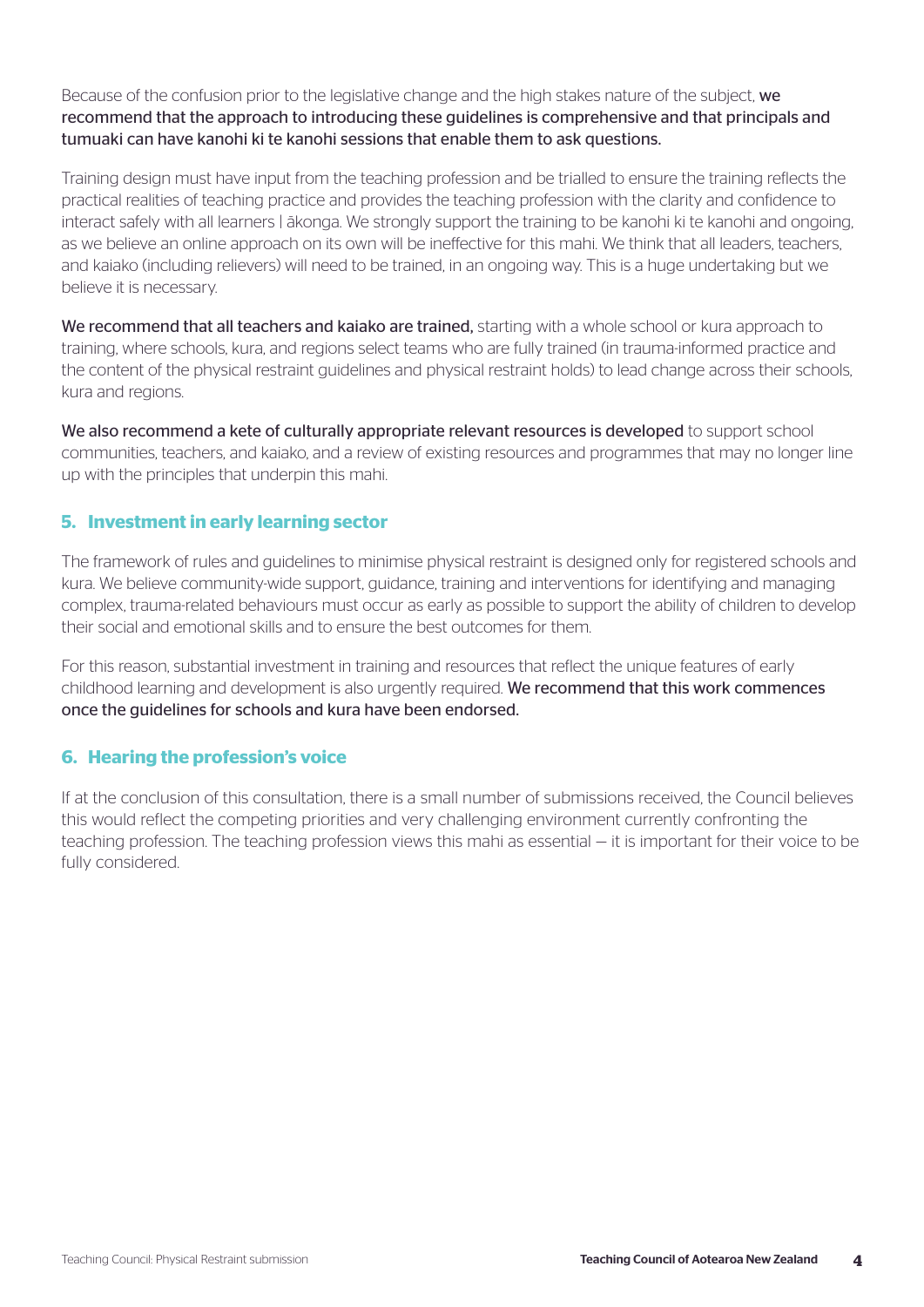Because of the confusion prior to the legislative change and the high stakes nature of the subject, we recommend that the approach to introducing these guidelines is comprehensive and that principals and tumuaki can have kanohi ki te kanohi sessions that enable them to ask questions.

Training design must have input from the teaching profession and be trialled to ensure the training reflects the practical realities of teaching practice and provides the teaching profession with the clarity and confidence to interact safely with all learners | ākonga. We strongly support the training to be kanohi ki te kanohi and ongoing, as we believe an online approach on its own will be ineffective for this mahi. We think that all leaders, teachers, and kaiako (including relievers) will need to be trained, in an ongoing way. This is a huge undertaking but we believe it is necessary.

We recommend that all teachers and kaiako are trained, starting with a whole school or kura approach to training, where schools, kura, and regions select teams who are fully trained (in trauma-informed practice and the content of the physical restraint guidelines and physical restraint holds) to lead change across their schools, kura and regions.

We also recommend a kete of culturally appropriate relevant resources is developed to support school communities, teachers, and kaiako, and a review of existing resources and programmes that may no longer line up with the principles that underpin this mahi.

# **5. Investment in early learning sector**

The framework of rules and guidelines to minimise physical restraint is designed only for registered schools and kura. We believe community-wide support, guidance, training and interventions for identifying and managing complex, trauma-related behaviours must occur as early as possible to support the ability of children to develop their social and emotional skills and to ensure the best outcomes for them.

For this reason, substantial investment in training and resources that reflect the unique features of early childhood learning and development is also urgently required. We recommend that this work commences once the guidelines for schools and kura have been endorsed.

# **6. Hearing the profession's voice**

If at the conclusion of this consultation, there is a small number of submissions received, the Council believes this would reflect the competing priorities and very challenging environment currently confronting the teaching profession. The teaching profession views this mahi as essential — it is important for their voice to be fully considered.